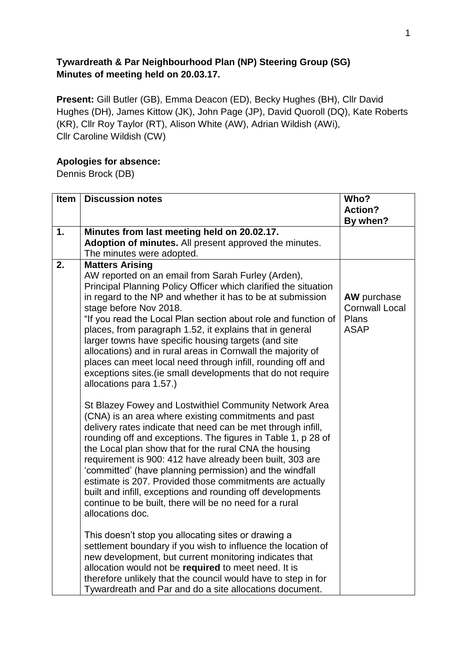## **Tywardreath & Par Neighbourhood Plan (NP) Steering Group (SG) Minutes of meeting held on 20.03.17.**

**Present:** Gill Butler (GB), Emma Deacon (ED), Becky Hughes (BH), Cllr David Hughes (DH), James Kittow (JK), John Page (JP), David Quoroll (DQ), Kate Roberts (KR), Cllr Roy Taylor (RT), Alison White (AW), Adrian Wildish (AWi), Cllr Caroline Wildish (CW)

## **Apologies for absence:**

Dennis Brock (DB)

| 1. | Minutes from last meeting held on 20.02.17.<br>Adoption of minutes. All present approved the minutes.                                                                                                                                                                                                                                                                                                                                                                                                                                                                                                                                                                                                                                                                                                                                                                                                        | By when?                                                            |
|----|--------------------------------------------------------------------------------------------------------------------------------------------------------------------------------------------------------------------------------------------------------------------------------------------------------------------------------------------------------------------------------------------------------------------------------------------------------------------------------------------------------------------------------------------------------------------------------------------------------------------------------------------------------------------------------------------------------------------------------------------------------------------------------------------------------------------------------------------------------------------------------------------------------------|---------------------------------------------------------------------|
|    |                                                                                                                                                                                                                                                                                                                                                                                                                                                                                                                                                                                                                                                                                                                                                                                                                                                                                                              |                                                                     |
|    |                                                                                                                                                                                                                                                                                                                                                                                                                                                                                                                                                                                                                                                                                                                                                                                                                                                                                                              |                                                                     |
|    | The minutes were adopted.                                                                                                                                                                                                                                                                                                                                                                                                                                                                                                                                                                                                                                                                                                                                                                                                                                                                                    |                                                                     |
| 2. | <b>Matters Arising</b><br>AW reported on an email from Sarah Furley (Arden),<br>Principal Planning Policy Officer which clarified the situation<br>in regard to the NP and whether it has to be at submission<br>stage before Nov 2018.<br>"If you read the Local Plan section about role and function of<br>places, from paragraph 1.52, it explains that in general<br>larger towns have specific housing targets (and site<br>allocations) and in rural areas in Cornwall the majority of<br>places can meet local need through infill, rounding off and<br>exceptions sites (ie small developments that do not require                                                                                                                                                                                                                                                                                   | <b>AW</b> purchase<br><b>Cornwall Local</b><br>Plans<br><b>ASAP</b> |
|    | allocations para 1.57.)<br>St Blazey Fowey and Lostwithiel Community Network Area<br>(CNA) is an area where existing commitments and past<br>delivery rates indicate that need can be met through infill,<br>rounding off and exceptions. The figures in Table 1, p 28 of<br>the Local plan show that for the rural CNA the housing<br>requirement is 900: 412 have already been built, 303 are<br>'committed' (have planning permission) and the windfall<br>estimate is 207. Provided those commitments are actually<br>built and infill, exceptions and rounding off developments<br>continue to be built, there will be no need for a rural<br>allocations doc.<br>This doesn't stop you allocating sites or drawing a<br>settlement boundary if you wish to influence the location of<br>new development, but current monitoring indicates that<br>allocation would not be required to meet need. It is |                                                                     |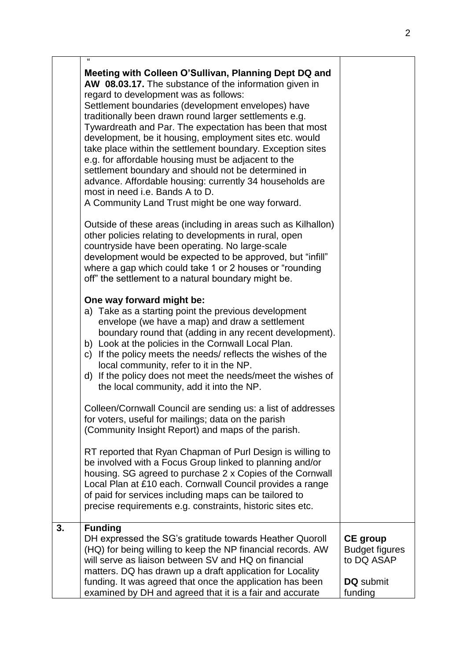|    | Meeting with Colleen O'Sullivan, Planning Dept DQ and<br>AW 08.03.17. The substance of the information given in<br>regard to development was as follows:<br>Settlement boundaries (development envelopes) have<br>traditionally been drawn round larger settlements e.g.<br>Tywardreath and Par. The expectation has been that most<br>development, be it housing, employment sites etc. would<br>take place within the settlement boundary. Exception sites<br>e.g. for affordable housing must be adjacent to the<br>settlement boundary and should not be determined in<br>advance. Affordable housing: currently 34 households are<br>most in need i.e. Bands A to D.<br>A Community Land Trust might be one way forward. |                                                                                |
|----|-------------------------------------------------------------------------------------------------------------------------------------------------------------------------------------------------------------------------------------------------------------------------------------------------------------------------------------------------------------------------------------------------------------------------------------------------------------------------------------------------------------------------------------------------------------------------------------------------------------------------------------------------------------------------------------------------------------------------------|--------------------------------------------------------------------------------|
|    | Outside of these areas (including in areas such as Kilhallon)<br>other policies relating to developments in rural, open<br>countryside have been operating. No large-scale<br>development would be expected to be approved, but "infill"<br>where a gap which could take 1 or 2 houses or "rounding<br>off" the settlement to a natural boundary might be.                                                                                                                                                                                                                                                                                                                                                                    |                                                                                |
|    | One way forward might be:<br>a) Take as a starting point the previous development<br>envelope (we have a map) and draw a settlement<br>boundary round that (adding in any recent development).<br>b) Look at the policies in the Cornwall Local Plan.<br>c) If the policy meets the needs/ reflects the wishes of the<br>local community, refer to it in the NP.<br>d) If the policy does not meet the needs/meet the wishes of<br>the local community, add it into the NP.                                                                                                                                                                                                                                                   |                                                                                |
|    | Colleen/Cornwall Council are sending us: a list of addresses<br>for voters, useful for mailings; data on the parish<br>(Community Insight Report) and maps of the parish.                                                                                                                                                                                                                                                                                                                                                                                                                                                                                                                                                     |                                                                                |
|    | RT reported that Ryan Chapman of Purl Design is willing to<br>be involved with a Focus Group linked to planning and/or<br>housing. SG agreed to purchase 2 x Copies of the Cornwall<br>Local Plan at £10 each. Cornwall Council provides a range<br>of paid for services including maps can be tailored to<br>precise requirements e.g. constraints, historic sites etc.                                                                                                                                                                                                                                                                                                                                                      |                                                                                |
| 3. | <b>Funding</b><br>DH expressed the SG's gratitude towards Heather Quoroll<br>(HQ) for being willing to keep the NP financial records. AW<br>will serve as liaison between SV and HQ on financial<br>matters. DQ has drawn up a draft application for Locality<br>funding. It was agreed that once the application has been<br>examined by DH and agreed that it is a fair and accurate                                                                                                                                                                                                                                                                                                                                        | <b>CE</b> group<br><b>Budget figures</b><br>to DQ ASAP<br>DQ submit<br>funding |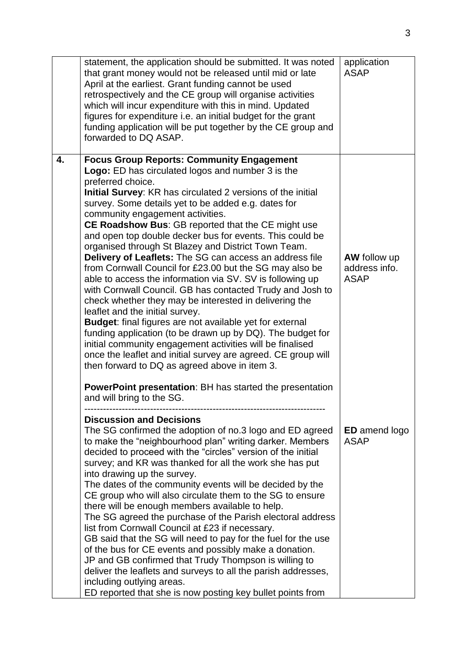|    | statement, the application should be submitted. It was noted<br>that grant money would not be released until mid or late<br>April at the earliest. Grant funding cannot be used<br>retrospectively and the CE group will organise activities<br>which will incur expenditure with this in mind. Updated<br>figures for expenditure i.e. an initial budget for the grant<br>funding application will be put together by the CE group and<br>forwarded to DQ ASAP.                                                                                                                                                                                                                                                                                                                                                                                                                                                                                                                                                                                                                                                                                                                                                           | application<br><b>ASAP</b>                          |
|----|----------------------------------------------------------------------------------------------------------------------------------------------------------------------------------------------------------------------------------------------------------------------------------------------------------------------------------------------------------------------------------------------------------------------------------------------------------------------------------------------------------------------------------------------------------------------------------------------------------------------------------------------------------------------------------------------------------------------------------------------------------------------------------------------------------------------------------------------------------------------------------------------------------------------------------------------------------------------------------------------------------------------------------------------------------------------------------------------------------------------------------------------------------------------------------------------------------------------------|-----------------------------------------------------|
| 4. | <b>Focus Group Reports: Community Engagement</b><br>Logo: ED has circulated logos and number 3 is the<br>preferred choice.<br>Initial Survey: KR has circulated 2 versions of the initial<br>survey. Some details yet to be added e.g. dates for<br>community engagement activities.<br><b>CE Roadshow Bus: GB reported that the CE might use</b><br>and open top double decker bus for events. This could be<br>organised through St Blazey and District Town Team.<br>Delivery of Leaflets: The SG can access an address file<br>from Cornwall Council for £23.00 but the SG may also be<br>able to access the information via SV. SV is following up<br>with Cornwall Council. GB has contacted Trudy and Josh to<br>check whether they may be interested in delivering the<br>leaflet and the initial survey.<br>Budget: final figures are not available yet for external<br>funding application (to be drawn up by DQ). The budget for<br>initial community engagement activities will be finalised<br>once the leaflet and initial survey are agreed. CE group will<br>then forward to DQ as agreed above in item 3.<br><b>PowerPoint presentation: BH has started the presentation</b><br>and will bring to the SG. | <b>AW</b> follow up<br>address info.<br><b>ASAP</b> |
|    | <b>Discussion and Decisions</b><br>The SG confirmed the adoption of no.3 logo and ED agreed<br>to make the "neighbourhood plan" writing darker. Members<br>decided to proceed with the "circles" version of the initial<br>survey; and KR was thanked for all the work she has put<br>into drawing up the survey.<br>The dates of the community events will be decided by the<br>CE group who will also circulate them to the SG to ensure<br>there will be enough members available to help.<br>The SG agreed the purchase of the Parish electoral address<br>list from Cornwall Council at £23 if necessary.<br>GB said that the SG will need to pay for the fuel for the use<br>of the bus for CE events and possibly make a donation.<br>JP and GB confirmed that Trudy Thompson is willing to<br>deliver the leaflets and surveys to all the parish addresses,<br>including outlying areas.<br>ED reported that she is now posting key bullet points from                                                                                                                                                                                                                                                             | <b>ED</b> amend logo<br><b>ASAP</b>                 |